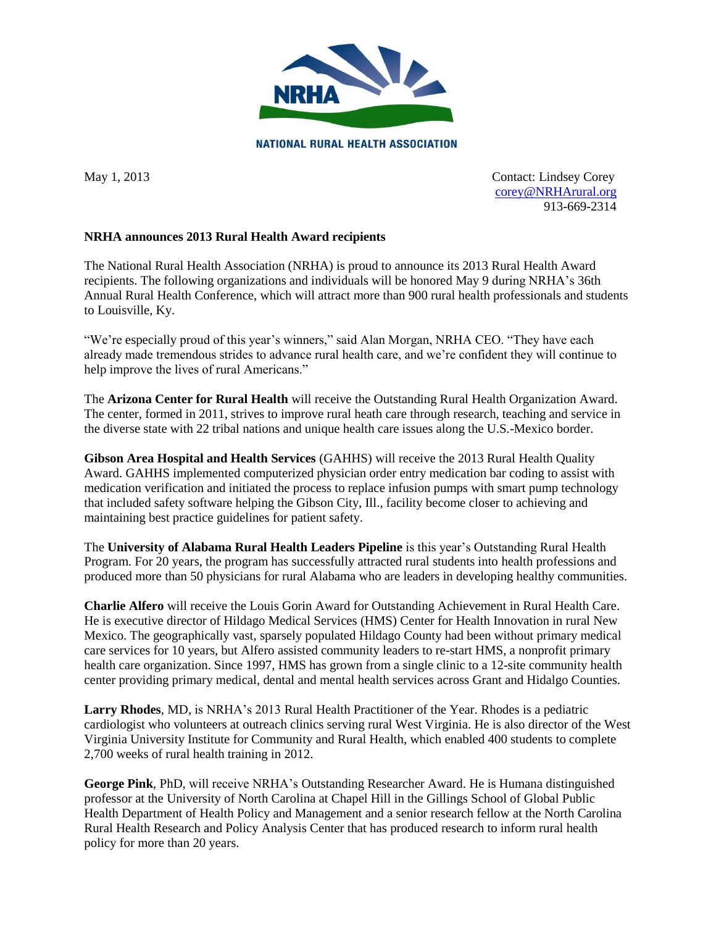

**NATIONAL RURAL HEALTH ASSOCIATION** 

May 1, 2013 Contact: Lindsey Corey [corey@NRHArural.org](mailto:corey@NRHArural.org) 913-669-2314

## **NRHA announces 2013 Rural Health Award recipients**

The National Rural Health Association (NRHA) is proud to announce its 2013 Rural Health Award recipients. The following organizations and individuals will be honored May 9 during NRHA's 36th Annual Rural Health Conference, which will attract more than 900 rural health professionals and students to Louisville, Ky.

"We're especially proud of this year's winners," said Alan Morgan, NRHA CEO. "They have each already made tremendous strides to advance rural health care, and we're confident they will continue to help improve the lives of rural Americans."

The **Arizona Center for Rural Health** will receive the Outstanding Rural Health Organization Award. The center, formed in 2011, strives to improve rural heath care through research, teaching and service in the diverse state with 22 tribal nations and unique health care issues along the U.S.-Mexico border.

**Gibson Area Hospital and Health Services** (GAHHS) will receive the 2013 Rural Health Quality Award. GAHHS implemented computerized physician order entry medication bar coding to assist with medication verification and initiated the process to replace infusion pumps with smart pump technology that included safety software helping the Gibson City, Ill., facility become closer to achieving and maintaining best practice guidelines for patient safety.

The **University of Alabama Rural Health Leaders Pipeline** is this year's Outstanding Rural Health Program. For 20 years, the program has successfully attracted rural students into health professions and produced more than 50 physicians for rural Alabama who are leaders in developing healthy communities.

**Charlie Alfero** will receive the Louis Gorin Award for Outstanding Achievement in Rural Health Care. He is executive director of Hildago Medical Services (HMS) Center for Health Innovation in rural New Mexico. The geographically vast, sparsely populated Hildago County had been without primary medical care services for 10 years, but Alfero assisted community leaders to re-start HMS, a nonprofit primary health care organization. Since 1997, HMS has grown from a single clinic to a 12-site community health center providing primary medical, dental and mental health services across Grant and Hidalgo Counties.

**Larry Rhodes**, MD, is NRHA's 2013 Rural Health Practitioner of the Year. Rhodes is a pediatric cardiologist who volunteers at outreach clinics serving rural West Virginia. He is also director of the West Virginia University Institute for Community and Rural Health, which enabled 400 students to complete 2,700 weeks of rural health training in 2012.

**George Pink**, PhD, will receive NRHA's Outstanding Researcher Award. He is Humana distinguished professor at the University of North Carolina at Chapel Hill in the Gillings School of Global Public Health Department of Health Policy and Management and a senior research fellow at the North Carolina Rural Health Research and Policy Analysis Center that has produced research to inform rural health policy for more than 20 years.